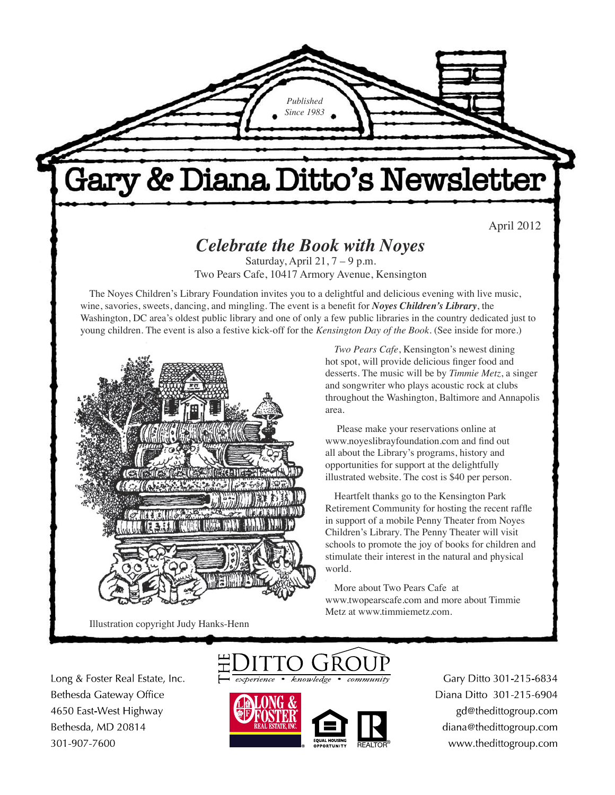*Published Since 1983*

# Gary & Diana Ditto's Newsletter

April 2012

### *Celebrate the Book with Noyes*

Saturday, April  $21, 7 - 9$  p.m. Two Pears Cafe, 10417 Armory Avenue, Kensington

The Noyes Children's Library Foundation invites you to a delightful and delicious evening with live music, wine, savories, sweets, dancing, and mingling. The event is a benefit for *Noyes Children's Library*, the Washington, DC area's oldest public library and one of only a few public libraries in the country dedicated just to young children. The event is also a festive kick-off for the *Kensington Day of the Book*. (See inside for more.)



Illustration copyright Judy Hanks-Henn

*Two Pears Cafe*, Kensington's newest dining hot spot, will provide delicious finger food and desserts. The music will be by *Timmie Metz*, a singer and songwriter who plays acoustic rock at clubs throughout the Washington, Baltimore and Annapolis area.

 Please make your reservations online at www.noyeslibrayfoundation.com and find out all about the Library's programs, history and opportunities for support at the delightfully illustrated website. The cost is \$40 per person.

Heartfelt thanks go to the Kensington Park Retirement Community for hosting the recent raffle in support of a mobile Penny Theater from Noyes Children's Library. The Penny Theater will visit schools to promote the joy of books for children and stimulate their interest in the natural and physical world.

More about Two Pears Cafe at www.twopearscafe.com and more about Timmie Metz at www.timmiemetz.com.

Long & Foster Real Estate, Inc. Bethesda Gateway Office 4650 East-West Highway Bethesda, MD 20814 301-907-7600





Gary Ditto 301-215-6834 Diana Ditto 301-215-6904 gd@thedittogroup.com diana@thedittogroup.com www.thedittogroup.com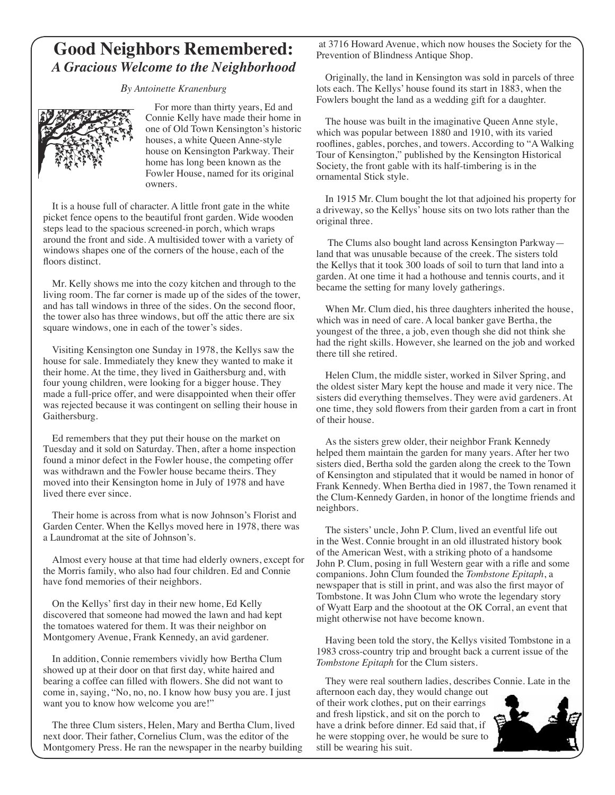### **Good Neighbors Remembered:** *A Gracious Welcome to the Neighborhood*

*By Antoinette Kranenburg*



For more than thirty years, Ed and Connie Kelly have made their home in one of Old Town Kensington's historic houses, a white Queen Anne-style house on Kensington Parkway. Their home has long been known as the Fowler House, named for its original owners.

It is a house full of character. A little front gate in the white picket fence opens to the beautiful front garden. Wide wooden steps lead to the spacious screened-in porch, which wraps around the front and side. A multisided tower with a variety of windows shapes one of the corners of the house, each of the floors distinct.

Mr. Kelly shows me into the cozy kitchen and through to the living room. The far corner is made up of the sides of the tower, and has tall windows in three of the sides. On the second floor, the tower also has three windows, but off the attic there are six square windows, one in each of the tower's sides.

Visiting Kensington one Sunday in 1978, the Kellys saw the house for sale. Immediately they knew they wanted to make it their home. At the time, they lived in Gaithersburg and, with four young children, were looking for a bigger house. They made a full-price offer, and were disappointed when their offer was rejected because it was contingent on selling their house in Gaithersburg.

Ed remembers that they put their house on the market on Tuesday and it sold on Saturday. Then, after a home inspection found a minor defect in the Fowler house, the competing offer was withdrawn and the Fowler house became theirs. They moved into their Kensington home in July of 1978 and have lived there ever since.

Their home is across from what is now Johnson's Florist and Garden Center. When the Kellys moved here in 1978, there was a Laundromat at the site of Johnson's.

Almost every house at that time had elderly owners, except for the Morris family, who also had four children. Ed and Connie have fond memories of their neighbors.

On the Kellys' first day in their new home, Ed Kelly discovered that someone had mowed the lawn and had kept the tomatoes watered for them. It was their neighbor on Montgomery Avenue, Frank Kennedy, an avid gardener.

In addition, Connie remembers vividly how Bertha Clum showed up at their door on that first day, white haired and bearing a coffee can filled with flowers. She did not want to come in, saying, "No, no, no. I know how busy you are. I just want you to know how welcome you are!"

The three Clum sisters, Helen, Mary and Bertha Clum, lived next door. Their father, Cornelius Clum, was the editor of the Montgomery Press. He ran the newspaper in the nearby building

֦ at 3716 Howard Avenue, which now houses the Society for the Prevention of Blindness Antique Shop.

Originally, the land in Kensington was sold in parcels of three lots each. The Kellys' house found its start in 1883, when the Fowlers bought the land as a wedding gift for a daughter.

The house was built in the imaginative Queen Anne style, which was popular between 1880 and 1910, with its varied rooflines, gables, porches, and towers. According to "A Walking Tour of Kensington," published by the Kensington Historical Society, the front gable with its half-timbering is in the ornamental Stick style.

In 1915 Mr. Clum bought the lot that adjoined his property for a driveway, so the Kellys' house sits on two lots rather than the original three.

 The Clums also bought land across Kensington Parkway land that was unusable because of the creek. The sisters told the Kellys that it took 300 loads of soil to turn that land into a garden. At one time it had a hothouse and tennis courts, and it became the setting for many lovely gatherings.

When Mr. Clum died, his three daughters inherited the house, which was in need of care. A local banker gave Bertha, the youngest of the three, a job, even though she did not think she had the right skills. However, she learned on the job and worked there till she retired.

Helen Clum, the middle sister, worked in Silver Spring, and the oldest sister Mary kept the house and made it very nice. The sisters did everything themselves. They were avid gardeners. At one time, they sold flowers from their garden from a cart in front of their house.

As the sisters grew older, their neighbor Frank Kennedy helped them maintain the garden for many years. After her two sisters died, Bertha sold the garden along the creek to the Town of Kensington and stipulated that it would be named in honor of Frank Kennedy. When Bertha died in 1987, the Town renamed it the Clum-Kennedy Garden, in honor of the longtime friends and neighbors.

The sisters' uncle, John P. Clum, lived an eventful life out in the West. Connie brought in an old illustrated history book of the American West, with a striking photo of a handsome John P. Clum, posing in full Western gear with a rifle and some companions. John Clum founded the *Tombstone Epitaph*, a newspaper that is still in print, and was also the first mayor of Tombstone. It was John Clum who wrote the legendary story of Wyatt Earp and the shootout at the OK Corral, an event that might otherwise not have become known.

Having been told the story, the Kellys visited Tombstone in a 1983 cross-country trip and brought back a current issue of the *Tombstone Epitaph* for the Clum sisters.

They were real southern ladies, describes Connie. Late in the

afternoon each day, they would change out of their work clothes, put on their earrings and fresh lipstick, and sit on the porch to have a drink before dinner. Ed said that, if he were stopping over, he would be sure to still be wearing his suit.